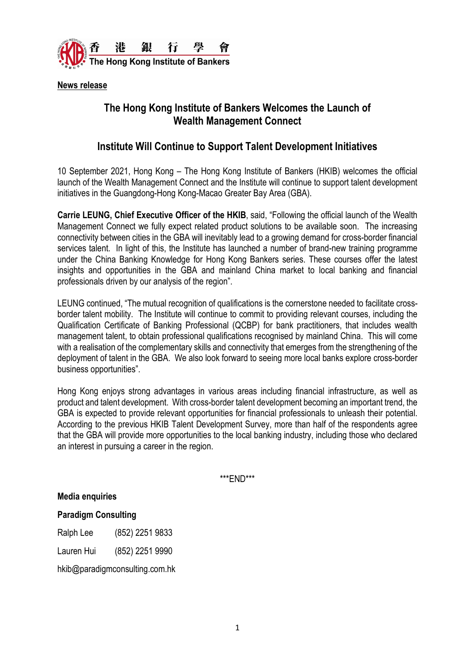

**News release**

## **The Hong Kong Institute of Bankers Welcomes the Launch of Wealth Management Connect**

## **Institute Will Continue to Support Talent Development Initiatives**

10 September 2021, Hong Kong – The Hong Kong Institute of Bankers (HKIB) welcomes the official launch of the Wealth Management Connect and the Institute will continue to support talent development initiatives in the Guangdong-Hong Kong-Macao Greater Bay Area (GBA).

**Carrie LEUNG, Chief Executive Officer of the HKIB**, said, "Following the official launch of the Wealth Management Connect we fully expect related product solutions to be available soon. The increasing connectivity between cities in the GBA will inevitably lead to a growing demand for cross-border financial services talent. In light of this, the Institute has launched a number of brand-new training programme under the China Banking Knowledge for Hong Kong Bankers series. These courses offer the latest insights and opportunities in the GBA and mainland China market to local banking and financial professionals driven by our analysis of the region".

LEUNG continued, "The mutual recognition of qualifications is the cornerstone needed to facilitate crossborder talent mobility. The Institute will continue to commit to providing relevant courses, including the Qualification Certificate of Banking Professional (QCBP) for bank practitioners, that includes wealth management talent, to obtain professional qualifications recognised by mainland China. This will come with a realisation of the complementary skills and connectivity that emerges from the strengthening of the deployment of talent in the GBA. We also look forward to seeing more local banks explore cross-border business opportunities".

Hong Kong enjoys strong advantages in various areas including financial infrastructure, as well as product and talent development. With cross-border talent development becoming an important trend, the GBA is expected to provide relevant opportunities for financial professionals to unleash their potential. According to the previous HKIB Talent Development Survey, more than half of the respondents agree that the GBA will provide more opportunities to the local banking industry, including those who declared an interest in pursuing a career in the region.

\*\*\*END\*\*\*

**Media enquiries**

**Paradigm Consulting**

Ralph Lee (852) 2251 9833

Lauren Hui (852) 2251 9990

[hkib@paradigmconsulting.com.hk](mailto:hkib@paradigmconsulting.com.hk)